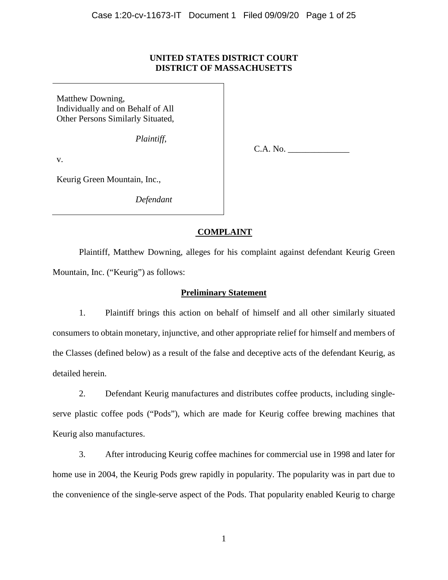## **UNITED STATES DISTRICT COURT DISTRICT OF MASSACHUSETTS**

Matthew Downing, Individually and on Behalf of All Other Persons Similarly Situated,

*Plaintiff*,

v.

C.A. No. \_\_\_\_\_\_\_\_\_\_\_\_\_\_

Keurig Green Mountain, Inc.,

*Defendant*

# **COMPLAINT**

Plaintiff, Matthew Downing, alleges for his complaint against defendant Keurig Green Mountain, Inc. ("Keurig") as follows:

## **Preliminary Statement**

1. Plaintiff brings this action on behalf of himself and all other similarly situated consumers to obtain monetary, injunctive, and other appropriate relief for himself and members of the Classes (defined below) as a result of the false and deceptive acts of the defendant Keurig, as detailed herein.

2. Defendant Keurig manufactures and distributes coffee products, including singleserve plastic coffee pods ("Pods"), which are made for Keurig coffee brewing machines that Keurig also manufactures.

3. After introducing Keurig coffee machines for commercial use in 1998 and later for home use in 2004, the Keurig Pods grew rapidly in popularity. The popularity was in part due to the convenience of the single-serve aspect of the Pods. That popularity enabled Keurig to charge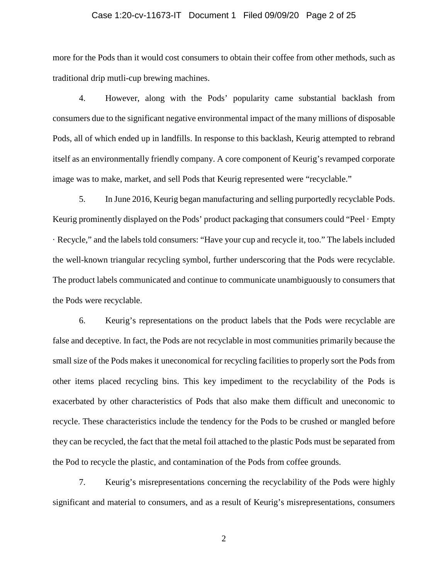## Case 1:20-cv-11673-IT Document 1 Filed 09/09/20 Page 2 of 25

more for the Pods than it would cost consumers to obtain their coffee from other methods, such as traditional drip mutli-cup brewing machines.

4. However, along with the Pods' popularity came substantial backlash from consumers due to the significant negative environmental impact of the many millions of disposable Pods, all of which ended up in landfills. In response to this backlash, Keurig attempted to rebrand itself as an environmentally friendly company. A core component of Keurig's revamped corporate image was to make, market, and sell Pods that Keurig represented were "recyclable."

5. In June 2016, Keurig began manufacturing and selling purportedly recyclable Pods. Keurig prominently displayed on the Pods' product packaging that consumers could "Peel · Empty · Recycle," and the labels told consumers: "Have your cup and recycle it, too." The labels included the well-known triangular recycling symbol, further underscoring that the Pods were recyclable. The product labels communicated and continue to communicate unambiguously to consumers that the Pods were recyclable.

6. Keurig's representations on the product labels that the Pods were recyclable are false and deceptive. In fact, the Pods are not recyclable in most communities primarily because the small size of the Pods makes it uneconomical for recycling facilities to properly sort the Pods from other items placed recycling bins. This key impediment to the recyclability of the Pods is exacerbated by other characteristics of Pods that also make them difficult and uneconomic to recycle. These characteristics include the tendency for the Pods to be crushed or mangled before they can be recycled, the fact that the metal foil attached to the plastic Pods must be separated from the Pod to recycle the plastic, and contamination of the Pods from coffee grounds.

7. Keurig's misrepresentations concerning the recyclability of the Pods were highly significant and material to consumers, and as a result of Keurig's misrepresentations, consumers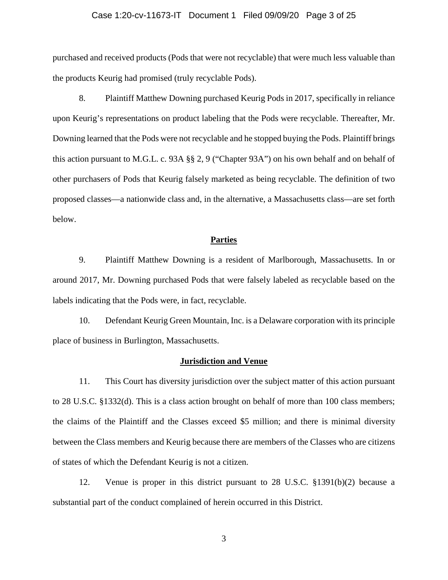## Case 1:20-cv-11673-IT Document 1 Filed 09/09/20 Page 3 of 25

purchased and received products (Pods that were not recyclable) that were much less valuable than the products Keurig had promised (truly recyclable Pods).

8. Plaintiff Matthew Downing purchased Keurig Pods in 2017, specifically in reliance upon Keurig's representations on product labeling that the Pods were recyclable. Thereafter, Mr. Downing learned that the Pods were not recyclable and he stopped buying the Pods. Plaintiff brings this action pursuant to M.G.L. c. 93A §§ 2, 9 ("Chapter 93A") on his own behalf and on behalf of other purchasers of Pods that Keurig falsely marketed as being recyclable. The definition of two proposed classes—a nationwide class and, in the alternative, a Massachusetts class—are set forth below.

## **Parties**

9. Plaintiff Matthew Downing is a resident of Marlborough, Massachusetts. In or around 2017, Mr. Downing purchased Pods that were falsely labeled as recyclable based on the labels indicating that the Pods were, in fact, recyclable.

10. Defendant Keurig Green Mountain, Inc. is a Delaware corporation with its principle place of business in Burlington, Massachusetts.

#### **Jurisdiction and Venue**

11. This Court has diversity jurisdiction over the subject matter of this action pursuant to 28 U.S.C. §1332(d). This is a class action brought on behalf of more than 100 class members; the claims of the Plaintiff and the Classes exceed \$5 million; and there is minimal diversity between the Class members and Keurig because there are members of the Classes who are citizens of states of which the Defendant Keurig is not a citizen.

12. Venue is proper in this district pursuant to 28 U.S.C. §1391(b)(2) because a substantial part of the conduct complained of herein occurred in this District.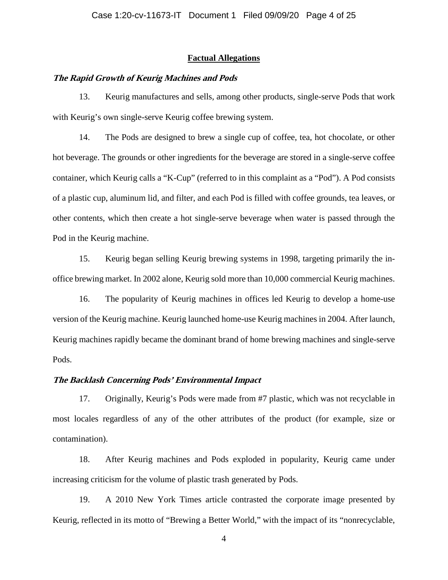## **Factual Allegations**

## **The Rapid Growth of Keurig Machines and Pods**

13. Keurig manufactures and sells, among other products, single-serve Pods that work with Keurig's own single-serve Keurig coffee brewing system.

14. The Pods are designed to brew a single cup of coffee, tea, hot chocolate, or other hot beverage. The grounds or other ingredients for the beverage are stored in a single-serve coffee container, which Keurig calls a "K-Cup" (referred to in this complaint as a "Pod"). A Pod consists of a plastic cup, aluminum lid, and filter, and each Pod is filled with coffee grounds, tea leaves, or other contents, which then create a hot single-serve beverage when water is passed through the Pod in the Keurig machine.

15. Keurig began selling Keurig brewing systems in 1998, targeting primarily the inoffice brewing market. In 2002 alone, Keurig sold more than 10,000 commercial Keurig machines.

16. The popularity of Keurig machines in offices led Keurig to develop a home-use version of the Keurig machine. Keurig launched home-use Keurig machines in 2004. After launch, Keurig machines rapidly became the dominant brand of home brewing machines and single-serve Pods.

## **The Backlash Concerning Pods' Environmental Impact**

17. Originally, Keurig's Pods were made from #7 plastic, which was not recyclable in most locales regardless of any of the other attributes of the product (for example, size or contamination).

18. After Keurig machines and Pods exploded in popularity, Keurig came under increasing criticism for the volume of plastic trash generated by Pods.

19. A 2010 New York Times article contrasted the corporate image presented by Keurig, reflected in its motto of "Brewing a Better World," with the impact of its "nonrecyclable,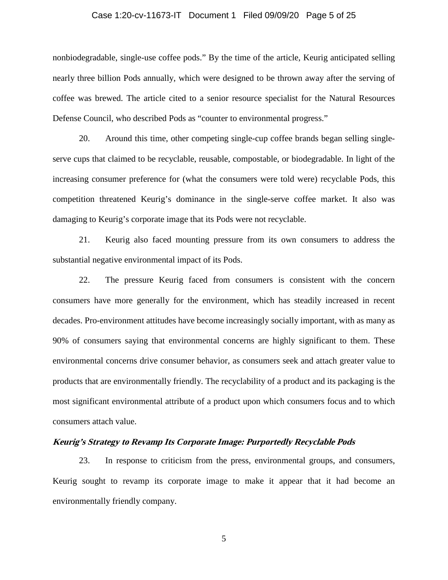## Case 1:20-cv-11673-IT Document 1 Filed 09/09/20 Page 5 of 25

nonbiodegradable, single-use coffee pods." By the time of the article, Keurig anticipated selling nearly three billion Pods annually, which were designed to be thrown away after the serving of coffee was brewed. The article cited to a senior resource specialist for the Natural Resources Defense Council, who described Pods as "counter to environmental progress."

20. Around this time, other competing single-cup coffee brands began selling singleserve cups that claimed to be recyclable, reusable, compostable, or biodegradable. In light of the increasing consumer preference for (what the consumers were told were) recyclable Pods, this competition threatened Keurig's dominance in the single-serve coffee market. It also was damaging to Keurig's corporate image that its Pods were not recyclable.

21. Keurig also faced mounting pressure from its own consumers to address the substantial negative environmental impact of its Pods.

22. The pressure Keurig faced from consumers is consistent with the concern consumers have more generally for the environment, which has steadily increased in recent decades. Pro-environment attitudes have become increasingly socially important, with as many as 90% of consumers saying that environmental concerns are highly significant to them. These environmental concerns drive consumer behavior, as consumers seek and attach greater value to products that are environmentally friendly. The recyclability of a product and its packaging is the most significant environmental attribute of a product upon which consumers focus and to which consumers attach value.

## **Keurig's Strategy to Revamp Its Corporate Image: Purportedly Recyclable Pods**

23. In response to criticism from the press, environmental groups, and consumers, Keurig sought to revamp its corporate image to make it appear that it had become an environmentally friendly company.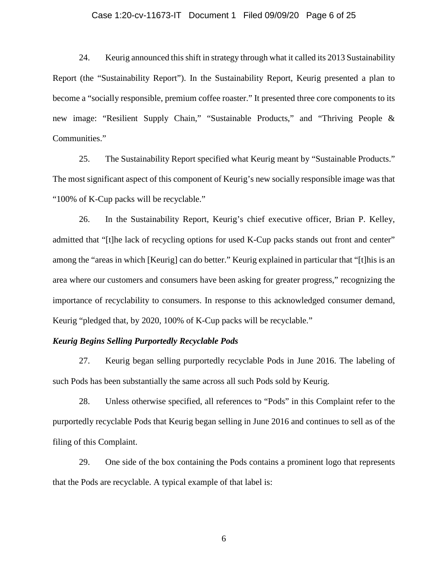## Case 1:20-cv-11673-IT Document 1 Filed 09/09/20 Page 6 of 25

24. Keurig announced this shift in strategy through what it called its 2013 Sustainability Report (the "Sustainability Report"). In the Sustainability Report, Keurig presented a plan to become a "socially responsible, premium coffee roaster." It presented three core components to its new image: "Resilient Supply Chain," "Sustainable Products," and "Thriving People & Communities."

25. The Sustainability Report specified what Keurig meant by "Sustainable Products." The most significant aspect of this component of Keurig's new socially responsible image was that "100% of K-Cup packs will be recyclable."

26. In the Sustainability Report, Keurig's chief executive officer, Brian P. Kelley, admitted that "[t]he lack of recycling options for used K-Cup packs stands out front and center" among the "areas in which [Keurig] can do better." Keurig explained in particular that "[t]his is an area where our customers and consumers have been asking for greater progress," recognizing the importance of recyclability to consumers. In response to this acknowledged consumer demand, Keurig "pledged that, by 2020, 100% of K-Cup packs will be recyclable."

#### *Keurig Begins Selling Purportedly Recyclable Pods*

27. Keurig began selling purportedly recyclable Pods in June 2016. The labeling of such Pods has been substantially the same across all such Pods sold by Keurig.

28. Unless otherwise specified, all references to "Pods" in this Complaint refer to the purportedly recyclable Pods that Keurig began selling in June 2016 and continues to sell as of the filing of this Complaint.

29. One side of the box containing the Pods contains a prominent logo that represents that the Pods are recyclable. A typical example of that label is: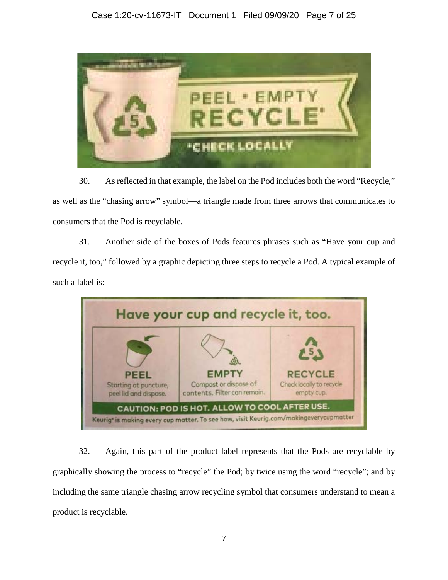

30. As reflected in that example, the label on the Pod includes both the word "Recycle," as well as the "chasing arrow" symbol—a triangle made from three arrows that communicates to consumers that the Pod is recyclable.

31. Another side of the boxes of Pods features phrases such as "Have your cup and recycle it, too," followed by a graphic depicting three steps to recycle a Pod. A typical example of such a label is:



32. Again, this part of the product label represents that the Pods are recyclable by graphically showing the process to "recycle" the Pod; by twice using the word "recycle"; and by including the same triangle chasing arrow recycling symbol that consumers understand to mean a product is recyclable.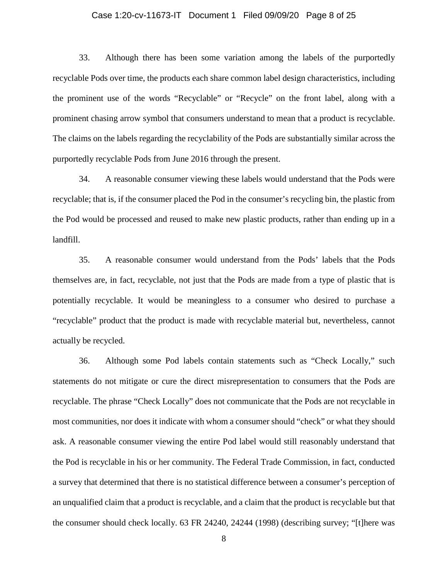## Case 1:20-cv-11673-IT Document 1 Filed 09/09/20 Page 8 of 25

33. Although there has been some variation among the labels of the purportedly recyclable Pods over time, the products each share common label design characteristics, including the prominent use of the words "Recyclable" or "Recycle" on the front label, along with a prominent chasing arrow symbol that consumers understand to mean that a product is recyclable. The claims on the labels regarding the recyclability of the Pods are substantially similar across the purportedly recyclable Pods from June 2016 through the present.

34. A reasonable consumer viewing these labels would understand that the Pods were recyclable; that is, if the consumer placed the Pod in the consumer's recycling bin, the plastic from the Pod would be processed and reused to make new plastic products, rather than ending up in a landfill.

35. A reasonable consumer would understand from the Pods' labels that the Pods themselves are, in fact, recyclable, not just that the Pods are made from a type of plastic that is potentially recyclable. It would be meaningless to a consumer who desired to purchase a "recyclable" product that the product is made with recyclable material but, nevertheless, cannot actually be recycled.

36. Although some Pod labels contain statements such as "Check Locally," such statements do not mitigate or cure the direct misrepresentation to consumers that the Pods are recyclable. The phrase "Check Locally" does not communicate that the Pods are not recyclable in most communities, nor does it indicate with whom a consumer should "check" or what they should ask. A reasonable consumer viewing the entire Pod label would still reasonably understand that the Pod is recyclable in his or her community. The Federal Trade Commission, in fact, conducted a survey that determined that there is no statistical difference between a consumer's perception of an unqualified claim that a product is recyclable, and a claim that the product is recyclable but that the consumer should check locally. 63 FR 24240, 24244 (1998) (describing survey; "[t]here was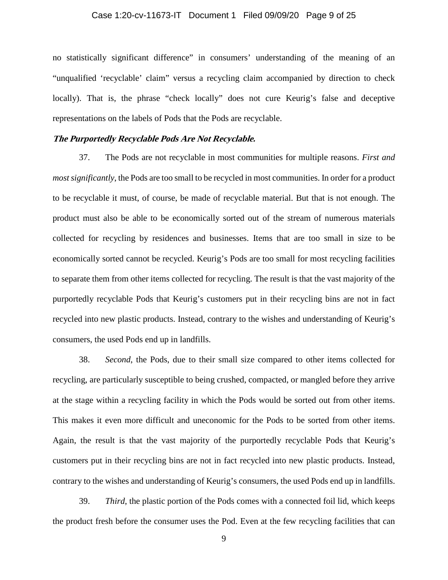## Case 1:20-cv-11673-IT Document 1 Filed 09/09/20 Page 9 of 25

no statistically significant difference" in consumers' understanding of the meaning of an "unqualified 'recyclable' claim" versus a recycling claim accompanied by direction to check locally). That is, the phrase "check locally" does not cure Keurig's false and deceptive representations on the labels of Pods that the Pods are recyclable.

#### **The Purportedly Recyclable Pods Are Not Recyclable.**

37. The Pods are not recyclable in most communities for multiple reasons. *First and most significantly*, the Pods are too small to be recycled in most communities. In order for a product to be recyclable it must, of course, be made of recyclable material. But that is not enough. The product must also be able to be economically sorted out of the stream of numerous materials collected for recycling by residences and businesses. Items that are too small in size to be economically sorted cannot be recycled. Keurig's Pods are too small for most recycling facilities to separate them from other items collected for recycling. The result is that the vast majority of the purportedly recyclable Pods that Keurig's customers put in their recycling bins are not in fact recycled into new plastic products. Instead, contrary to the wishes and understanding of Keurig's consumers, the used Pods end up in landfills.

38. *Second*, the Pods, due to their small size compared to other items collected for recycling, are particularly susceptible to being crushed, compacted, or mangled before they arrive at the stage within a recycling facility in which the Pods would be sorted out from other items. This makes it even more difficult and uneconomic for the Pods to be sorted from other items. Again, the result is that the vast majority of the purportedly recyclable Pods that Keurig's customers put in their recycling bins are not in fact recycled into new plastic products. Instead, contrary to the wishes and understanding of Keurig's consumers, the used Pods end up in landfills.

39. *Third*, the plastic portion of the Pods comes with a connected foil lid, which keeps the product fresh before the consumer uses the Pod. Even at the few recycling facilities that can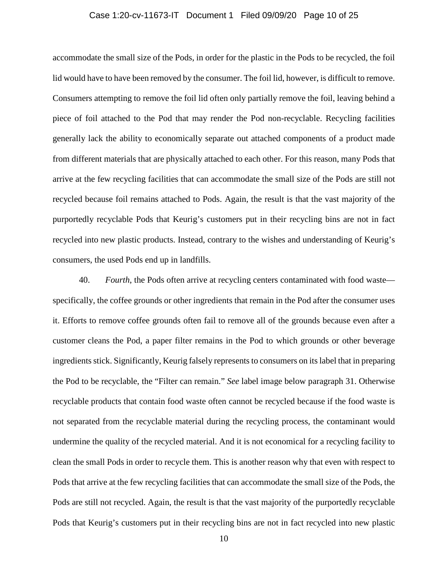#### Case 1:20-cv-11673-IT Document 1 Filed 09/09/20 Page 10 of 25

accommodate the small size of the Pods, in order for the plastic in the Pods to be recycled, the foil lid would have to have been removed by the consumer. The foil lid, however, is difficult to remove. Consumers attempting to remove the foil lid often only partially remove the foil, leaving behind a piece of foil attached to the Pod that may render the Pod non-recyclable. Recycling facilities generally lack the ability to economically separate out attached components of a product made from different materials that are physically attached to each other. For this reason, many Pods that arrive at the few recycling facilities that can accommodate the small size of the Pods are still not recycled because foil remains attached to Pods. Again, the result is that the vast majority of the purportedly recyclable Pods that Keurig's customers put in their recycling bins are not in fact recycled into new plastic products. Instead, contrary to the wishes and understanding of Keurig's consumers, the used Pods end up in landfills.

40. *Fourth*, the Pods often arrive at recycling centers contaminated with food waste specifically, the coffee grounds or other ingredients that remain in the Pod after the consumer uses it. Efforts to remove coffee grounds often fail to remove all of the grounds because even after a customer cleans the Pod, a paper filter remains in the Pod to which grounds or other beverage ingredients stick. Significantly, Keurig falsely represents to consumers on its label that in preparing the Pod to be recyclable, the "Filter can remain." *See* label image below paragraph 31. Otherwise recyclable products that contain food waste often cannot be recycled because if the food waste is not separated from the recyclable material during the recycling process, the contaminant would undermine the quality of the recycled material. And it is not economical for a recycling facility to clean the small Pods in order to recycle them. This is another reason why that even with respect to Pods that arrive at the few recycling facilities that can accommodate the small size of the Pods, the Pods are still not recycled. Again, the result is that the vast majority of the purportedly recyclable Pods that Keurig's customers put in their recycling bins are not in fact recycled into new plastic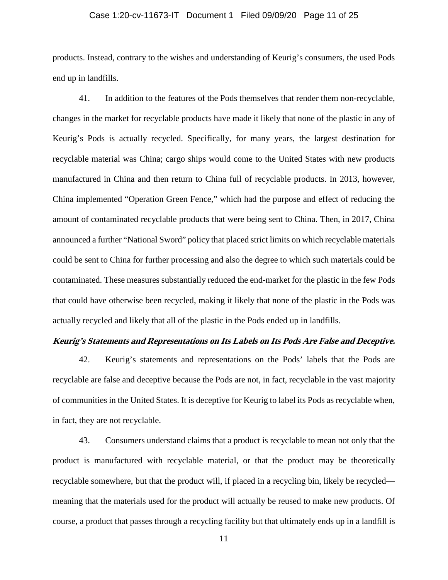## Case 1:20-cv-11673-IT Document 1 Filed 09/09/20 Page 11 of 25

products. Instead, contrary to the wishes and understanding of Keurig's consumers, the used Pods end up in landfills.

41. In addition to the features of the Pods themselves that render them non-recyclable, changes in the market for recyclable products have made it likely that none of the plastic in any of Keurig's Pods is actually recycled. Specifically, for many years, the largest destination for recyclable material was China; cargo ships would come to the United States with new products manufactured in China and then return to China full of recyclable products. In 2013, however, China implemented "Operation Green Fence," which had the purpose and effect of reducing the amount of contaminated recyclable products that were being sent to China. Then, in 2017, China announced a further "National Sword" policy that placed strict limits on which recyclable materials could be sent to China for further processing and also the degree to which such materials could be contaminated. These measures substantially reduced the end-market for the plastic in the few Pods that could have otherwise been recycled, making it likely that none of the plastic in the Pods was actually recycled and likely that all of the plastic in the Pods ended up in landfills.

#### **Keurig's Statements and Representations on Its Labels on Its Pods Are False and Deceptive.**

42. Keurig's statements and representations on the Pods' labels that the Pods are recyclable are false and deceptive because the Pods are not, in fact, recyclable in the vast majority of communities in the United States. It is deceptive for Keurig to label its Pods as recyclable when, in fact, they are not recyclable.

43. Consumers understand claims that a product is recyclable to mean not only that the product is manufactured with recyclable material, or that the product may be theoretically recyclable somewhere, but that the product will, if placed in a recycling bin, likely be recycled meaning that the materials used for the product will actually be reused to make new products. Of course, a product that passes through a recycling facility but that ultimately ends up in a landfill is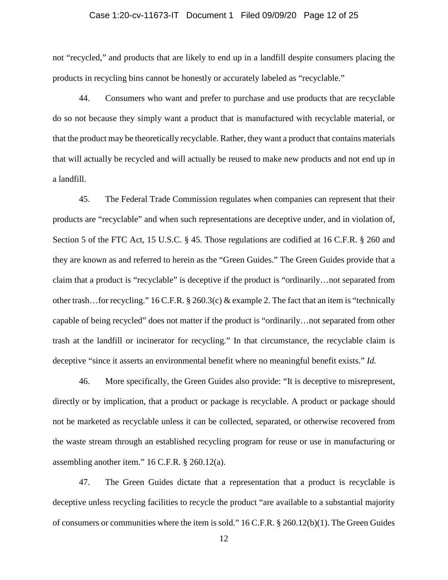## Case 1:20-cv-11673-IT Document 1 Filed 09/09/20 Page 12 of 25

not "recycled," and products that are likely to end up in a landfill despite consumers placing the products in recycling bins cannot be honestly or accurately labeled as "recyclable."

44. Consumers who want and prefer to purchase and use products that are recyclable do so not because they simply want a product that is manufactured with recyclable material, or that the product may be theoretically recyclable. Rather, they want a product that contains materials that will actually be recycled and will actually be reused to make new products and not end up in a landfill.

45. The Federal Trade Commission regulates when companies can represent that their products are "recyclable" and when such representations are deceptive under, and in violation of, Section 5 of the FTC Act, 15 U.S.C. § 45. Those regulations are codified at 16 C.F.R. § 260 and they are known as and referred to herein as the "Green Guides." The Green Guides provide that a claim that a product is "recyclable" is deceptive if the product is "ordinarily…not separated from other trash…for recycling." 16 C.F.R. § 260.3(c) & example 2. The fact that an item is "technically capable of being recycled" does not matter if the product is "ordinarily…not separated from other trash at the landfill or incinerator for recycling." In that circumstance, the recyclable claim is deceptive "since it asserts an environmental benefit where no meaningful benefit exists." *Id.*

46. More specifically, the Green Guides also provide: "It is deceptive to misrepresent, directly or by implication, that a product or package is recyclable. A product or package should not be marketed as recyclable unless it can be collected, separated, or otherwise recovered from the waste stream through an established recycling program for reuse or use in manufacturing or assembling another item." 16 C.F.R. § 260.12(a).

47. The Green Guides dictate that a representation that a product is recyclable is deceptive unless recycling facilities to recycle the product "are available to a substantial majority of consumers or communities where the item is sold." 16 C.F.R. § 260.12(b)(1). The Green Guides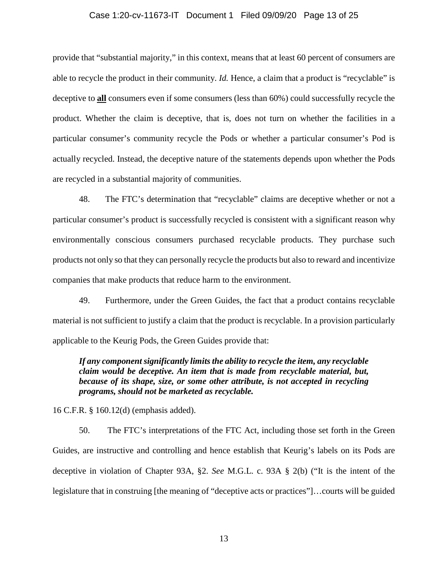#### Case 1:20-cv-11673-IT Document 1 Filed 09/09/20 Page 13 of 25

provide that "substantial majority," in this context, means that at least 60 percent of consumers are able to recycle the product in their community. *Id.* Hence, a claim that a product is "recyclable" is deceptive to **all** consumers even if some consumers (less than 60%) could successfully recycle the product. Whether the claim is deceptive, that is, does not turn on whether the facilities in a particular consumer's community recycle the Pods or whether a particular consumer's Pod is actually recycled. Instead, the deceptive nature of the statements depends upon whether the Pods are recycled in a substantial majority of communities.

48. The FTC's determination that "recyclable" claims are deceptive whether or not a particular consumer's product is successfully recycled is consistent with a significant reason why environmentally conscious consumers purchased recyclable products. They purchase such products not only so that they can personally recycle the products but also to reward and incentivize companies that make products that reduce harm to the environment.

49. Furthermore, under the Green Guides, the fact that a product contains recyclable material is not sufficient to justify a claim that the product is recyclable. In a provision particularly applicable to the Keurig Pods, the Green Guides provide that:

*If any component significantly limits the ability to recycle the item, any recyclable claim would be deceptive. An item that is made from recyclable material, but, because of its shape, size, or some other attribute, is not accepted in recycling programs, should not be marketed as recyclable.* 

16 C.F.R. § 160.12(d) (emphasis added).

50. The FTC's interpretations of the FTC Act, including those set forth in the Green Guides, are instructive and controlling and hence establish that Keurig's labels on its Pods are deceptive in violation of Chapter 93A, §2. *See* M.G.L. c. 93A § 2(b) ("It is the intent of the legislature that in construing [the meaning of "deceptive acts or practices"]…courts will be guided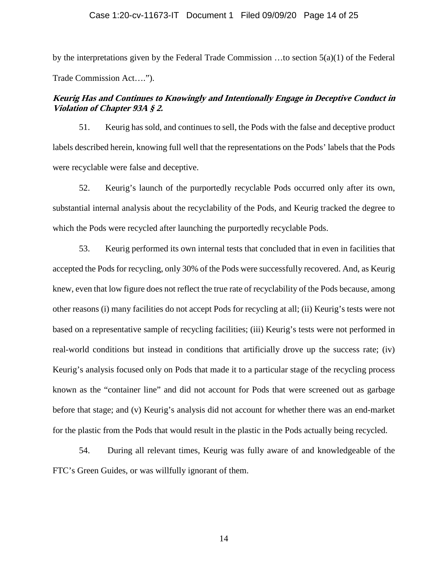by the interpretations given by the Federal Trade Commission …to section 5(a)(1) of the Federal Trade Commission Act….").

# **Keurig Has and Continues to Knowingly and Intentionally Engage in Deceptive Conduct in Violation of Chapter 93A § 2.**

51. Keurig has sold, and continues to sell, the Pods with the false and deceptive product labels described herein, knowing full well that the representations on the Pods' labels that the Pods were recyclable were false and deceptive.

52. Keurig's launch of the purportedly recyclable Pods occurred only after its own, substantial internal analysis about the recyclability of the Pods, and Keurig tracked the degree to which the Pods were recycled after launching the purportedly recyclable Pods.

53. Keurig performed its own internal tests that concluded that in even in facilities that accepted the Pods for recycling, only 30% of the Pods were successfully recovered. And, as Keurig knew, even that low figure does not reflect the true rate of recyclability of the Pods because, among other reasons (i) many facilities do not accept Pods for recycling at all; (ii) Keurig's tests were not based on a representative sample of recycling facilities; (iii) Keurig's tests were not performed in real-world conditions but instead in conditions that artificially drove up the success rate; (iv) Keurig's analysis focused only on Pods that made it to a particular stage of the recycling process known as the "container line" and did not account for Pods that were screened out as garbage before that stage; and (v) Keurig's analysis did not account for whether there was an end-market for the plastic from the Pods that would result in the plastic in the Pods actually being recycled.

54. During all relevant times, Keurig was fully aware of and knowledgeable of the FTC's Green Guides, or was willfully ignorant of them.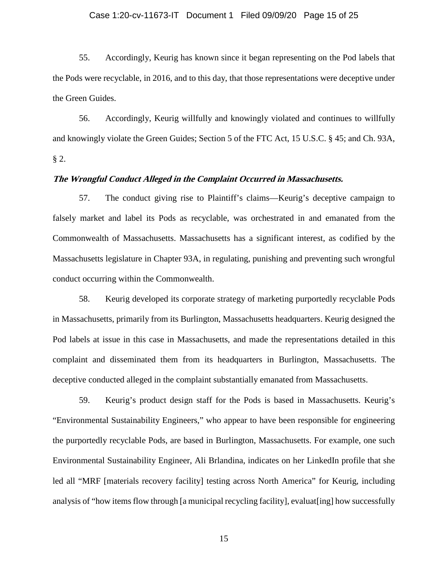## Case 1:20-cv-11673-IT Document 1 Filed 09/09/20 Page 15 of 25

55. Accordingly, Keurig has known since it began representing on the Pod labels that the Pods were recyclable, in 2016, and to this day, that those representations were deceptive under the Green Guides.

56. Accordingly, Keurig willfully and knowingly violated and continues to willfully and knowingly violate the Green Guides; Section 5 of the FTC Act, 15 U.S.C. § 45; and Ch. 93A, § 2.

## **The Wrongful Conduct Alleged in the Complaint Occurred in Massachusetts.**

57. The conduct giving rise to Plaintiff's claims—Keurig's deceptive campaign to falsely market and label its Pods as recyclable, was orchestrated in and emanated from the Commonwealth of Massachusetts. Massachusetts has a significant interest, as codified by the Massachusetts legislature in Chapter 93A, in regulating, punishing and preventing such wrongful conduct occurring within the Commonwealth.

58. Keurig developed its corporate strategy of marketing purportedly recyclable Pods in Massachusetts, primarily from its Burlington, Massachusetts headquarters. Keurig designed the Pod labels at issue in this case in Massachusetts, and made the representations detailed in this complaint and disseminated them from its headquarters in Burlington, Massachusetts. The deceptive conducted alleged in the complaint substantially emanated from Massachusetts.

59. Keurig's product design staff for the Pods is based in Massachusetts. Keurig's "Environmental Sustainability Engineers," who appear to have been responsible for engineering the purportedly recyclable Pods, are based in Burlington, Massachusetts. For example, one such Environmental Sustainability Engineer, Ali Brlandina, indicates on her LinkedIn profile that she led all "MRF [materials recovery facility] testing across North America" for Keurig, including analysis of "how items flow through [a municipal recycling facility], evaluat[ing] how successfully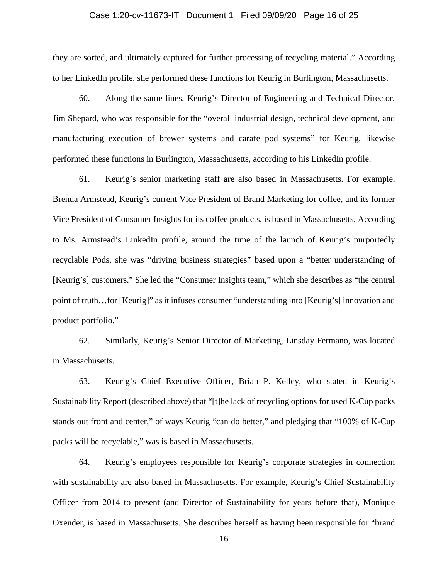## Case 1:20-cv-11673-IT Document 1 Filed 09/09/20 Page 16 of 25

they are sorted, and ultimately captured for further processing of recycling material." According to her LinkedIn profile, she performed these functions for Keurig in Burlington, Massachusetts.

60. Along the same lines, Keurig's Director of Engineering and Technical Director, Jim Shepard, who was responsible for the "overall industrial design, technical development, and manufacturing execution of brewer systems and carafe pod systems" for Keurig, likewise performed these functions in Burlington, Massachusetts, according to his LinkedIn profile.

61. Keurig's senior marketing staff are also based in Massachusetts. For example, Brenda Armstead, Keurig's current Vice President of Brand Marketing for coffee, and its former Vice President of Consumer Insights for its coffee products, is based in Massachusetts. According to Ms. Armstead's LinkedIn profile, around the time of the launch of Keurig's purportedly recyclable Pods, she was "driving business strategies" based upon a "better understanding of [Keurig's] customers." She led the "Consumer Insights team," which she describes as "the central point of truth…for [Keurig]" as it infuses consumer "understanding into [Keurig's] innovation and product portfolio."

62. Similarly, Keurig's Senior Director of Marketing, Linsday Fermano, was located in Massachusetts.

63. Keurig's Chief Executive Officer, Brian P. Kelley, who stated in Keurig's Sustainability Report (described above) that "[t]he lack of recycling options for used K-Cup packs stands out front and center," of ways Keurig "can do better," and pledging that "100% of K-Cup packs will be recyclable," was is based in Massachusetts.

64. Keurig's employees responsible for Keurig's corporate strategies in connection with sustainability are also based in Massachusetts. For example, Keurig's Chief Sustainability Officer from 2014 to present (and Director of Sustainability for years before that), Monique Oxender, is based in Massachusetts. She describes herself as having been responsible for "brand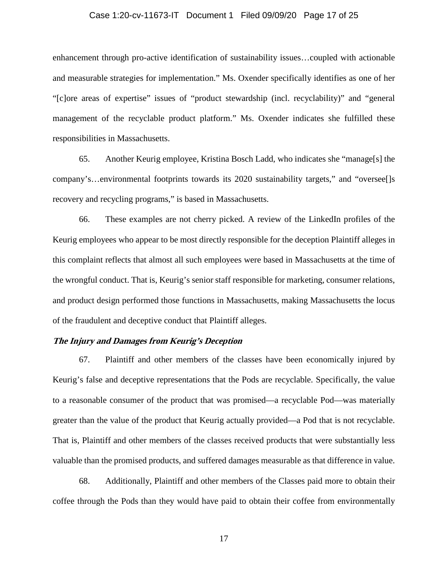## Case 1:20-cv-11673-IT Document 1 Filed 09/09/20 Page 17 of 25

enhancement through pro-active identification of sustainability issues…coupled with actionable and measurable strategies for implementation." Ms. Oxender specifically identifies as one of her "[c]ore areas of expertise" issues of "product stewardship (incl. recyclability)" and "general management of the recyclable product platform." Ms. Oxender indicates she fulfilled these responsibilities in Massachusetts.

65. Another Keurig employee, Kristina Bosch Ladd, who indicates she "manage[s] the company's…environmental footprints towards its 2020 sustainability targets," and "oversee[]s recovery and recycling programs," is based in Massachusetts.

66. These examples are not cherry picked. A review of the LinkedIn profiles of the Keurig employees who appear to be most directly responsible for the deception Plaintiff alleges in this complaint reflects that almost all such employees were based in Massachusetts at the time of the wrongful conduct. That is, Keurig's senior staff responsible for marketing, consumer relations, and product design performed those functions in Massachusetts, making Massachusetts the locus of the fraudulent and deceptive conduct that Plaintiff alleges.

## **The Injury and Damages from Keurig's Deception**

67. Plaintiff and other members of the classes have been economically injured by Keurig's false and deceptive representations that the Pods are recyclable. Specifically, the value to a reasonable consumer of the product that was promised—a recyclable Pod—was materially greater than the value of the product that Keurig actually provided—a Pod that is not recyclable. That is, Plaintiff and other members of the classes received products that were substantially less valuable than the promised products, and suffered damages measurable as that difference in value.

68. Additionally, Plaintiff and other members of the Classes paid more to obtain their coffee through the Pods than they would have paid to obtain their coffee from environmentally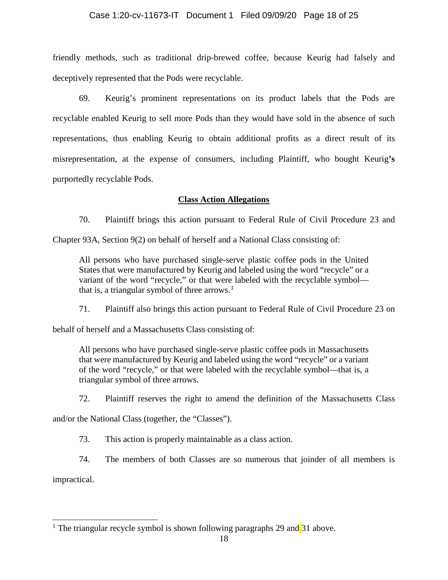## Case 1:20-cv-11673-IT Document 1 Filed 09/09/20 Page 18 of 25

friendly methods, such as traditional drip-brewed coffee, because Keurig had falsely and deceptively represented that the Pods were recyclable.

69. Keurig's prominent representations on its product labels that the Pods are recyclable enabled Keurig to sell more Pods than they would have sold in the absence of such representations, thus enabling Keurig to obtain additional profits as a direct result of its misrepresentation, at the expense of consumers, including Plaintiff, who bought Keurig**'s**  purportedly recyclable Pods.

## **Class Action Allegations**

70. Plaintiff brings this action pursuant to Federal Rule of Civil Procedure 23 and

Chapter 93A, Section 9(2) on behalf of herself and a National Class consisting of:

All persons who have purchased single-serve plastic coffee pods in the United States that were manufactured by Keurig and labeled using the word "recycle" or a variant of the word "recycle," or that were labeled with the recyclable symbol that is, a triangular symbol of three arrows. $<sup>1</sup>$  $<sup>1</sup>$  $<sup>1</sup>$ </sup>

71. Plaintiff also brings this action pursuant to Federal Rule of Civil Procedure 23 on

behalf of herself and a Massachusetts Class consisting of:

All persons who have purchased single-serve plastic coffee pods in Massachusetts that were manufactured by Keurig and labeled using the word "recycle" or a variant of the word "recycle," or that were labeled with the recyclable symbol—that is, a triangular symbol of three arrows.

72. Plaintiff reserves the right to amend the definition of the Massachusetts Class

and/or the National Class (together, the "Classes").

73. This action is properly maintainable as a class action.

74. The members of both Classes are so numerous that joinder of all members is impractical.

<span id="page-17-0"></span><sup>1</sup> The triangular recycle symbol is shown following paragraphs 29 and  $31$  above.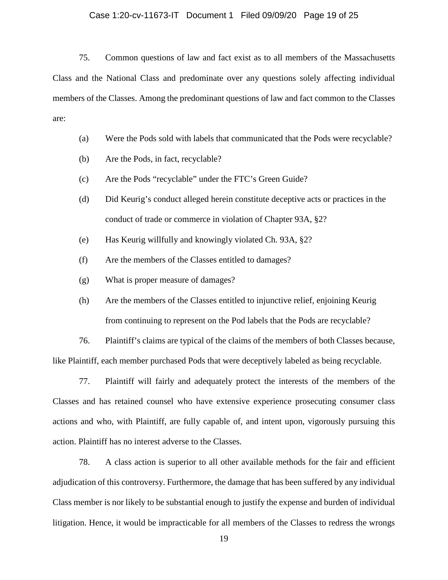## Case 1:20-cv-11673-IT Document 1 Filed 09/09/20 Page 19 of 25

75. Common questions of law and fact exist as to all members of the Massachusetts Class and the National Class and predominate over any questions solely affecting individual members of the Classes. Among the predominant questions of law and fact common to the Classes are:

- (a) Were the Pods sold with labels that communicated that the Pods were recyclable?
- (b) Are the Pods, in fact, recyclable?
- (c) Are the Pods "recyclable" under the FTC's Green Guide?
- (d) Did Keurig's conduct alleged herein constitute deceptive acts or practices in the conduct of trade or commerce in violation of Chapter 93A, §2?
- (e) Has Keurig willfully and knowingly violated Ch. 93A, §2?
- (f) Are the members of the Classes entitled to damages?
- (g) What is proper measure of damages?
- (h) Are the members of the Classes entitled to injunctive relief, enjoining Keurig from continuing to represent on the Pod labels that the Pods are recyclable?

76. Plaintiff's claims are typical of the claims of the members of both Classes because, like Plaintiff, each member purchased Pods that were deceptively labeled as being recyclable.

77. Plaintiff will fairly and adequately protect the interests of the members of the Classes and has retained counsel who have extensive experience prosecuting consumer class actions and who, with Plaintiff, are fully capable of, and intent upon, vigorously pursuing this action. Plaintiff has no interest adverse to the Classes.

78. A class action is superior to all other available methods for the fair and efficient adjudication of this controversy. Furthermore, the damage that has been suffered by any individual Class member is nor likely to be substantial enough to justify the expense and burden of individual litigation. Hence, it would be impracticable for all members of the Classes to redress the wrongs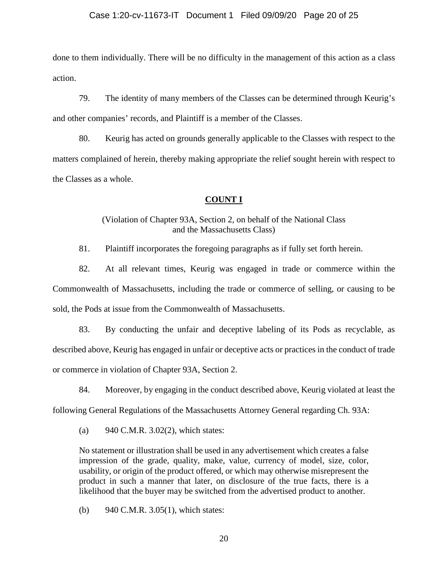done to them individually. There will be no difficulty in the management of this action as a class action.

79. The identity of many members of the Classes can be determined through Keurig's and other companies' records, and Plaintiff is a member of the Classes.

80. Keurig has acted on grounds generally applicable to the Classes with respect to the matters complained of herein, thereby making appropriate the relief sought herein with respect to the Classes as a whole.

## **COUNT I**

## (Violation of Chapter 93A, Section 2, on behalf of the National Class and the Massachusetts Class)

81. Plaintiff incorporates the foregoing paragraphs as if fully set forth herein.

82. At all relevant times, Keurig was engaged in trade or commerce within the Commonwealth of Massachusetts, including the trade or commerce of selling, or causing to be sold, the Pods at issue from the Commonwealth of Massachusetts.

83. By conducting the unfair and deceptive labeling of its Pods as recyclable, as described above, Keurig has engaged in unfair or deceptive acts or practices in the conduct of trade or commerce in violation of Chapter 93A, Section 2.

84. Moreover, by engaging in the conduct described above, Keurig violated at least the following General Regulations of the Massachusetts Attorney General regarding Ch. 93A:

(a) 940 C.M.R. 3.02(2), which states:

No statement or illustration shall be used in any advertisement which creates a false impression of the grade, quality, make, value, currency of model, size, color, usability, or origin of the product offered, or which may otherwise misrepresent the product in such a manner that later, on disclosure of the true facts, there is a likelihood that the buyer may be switched from the advertised product to another.

(b) 940 C.M.R. 3.05(1), which states: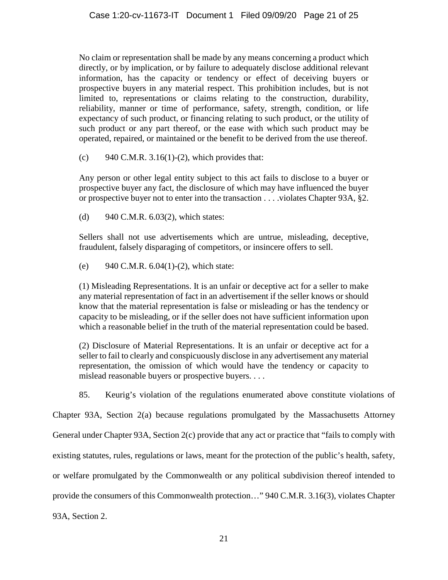No claim or representation shall be made by any means concerning a product which directly, or by implication, or by failure to adequately disclose additional relevant information, has the capacity or tendency or effect of deceiving buyers or prospective buyers in any material respect. This prohibition includes, but is not limited to, representations or claims relating to the construction, durability, reliability, manner or time of performance, safety, strength, condition, or life expectancy of such product, or financing relating to such product, or the utility of such product or any part thereof, or the ease with which such product may be operated, repaired, or maintained or the benefit to be derived from the use thereof.

(c) 940 C.M.R.  $3.16(1)-(2)$ , which provides that:

Any person or other legal entity subject to this act fails to disclose to a buyer or prospective buyer any fact, the disclosure of which may have influenced the buyer or prospective buyer not to enter into the transaction . . . .violates Chapter 93A, §2.

(d) 940 C.M.R. 6.03(2), which states:

Sellers shall not use advertisements which are untrue, misleading, deceptive, fraudulent, falsely disparaging of competitors, or insincere offers to sell.

(e) 940 C.M.R.  $6.04(1)-(2)$ , which state:

(1) Misleading Representations. It is an unfair or deceptive act for a seller to make any material representation of fact in an advertisement if the seller knows or should know that the material representation is false or misleading or has the tendency or capacity to be misleading, or if the seller does not have sufficient information upon which a reasonable belief in the truth of the material representation could be based.

(2) Disclosure of Material Representations. It is an unfair or deceptive act for a seller to fail to clearly and conspicuously disclose in any advertisement any material representation, the omission of which would have the tendency or capacity to mislead reasonable buyers or prospective buyers. . . .

85. Keurig's violation of the regulations enumerated above constitute violations of

Chapter 93A, Section 2(a) because regulations promulgated by the Massachusetts Attorney General under Chapter 93A, Section 2(c) provide that any act or practice that "fails to comply with existing statutes, rules, regulations or laws, meant for the protection of the public's health, safety, or welfare promulgated by the Commonwealth or any political subdivision thereof intended to provide the consumers of this Commonwealth protection…" 940 C.M.R. 3.16(3), violates Chapter 93A, Section 2.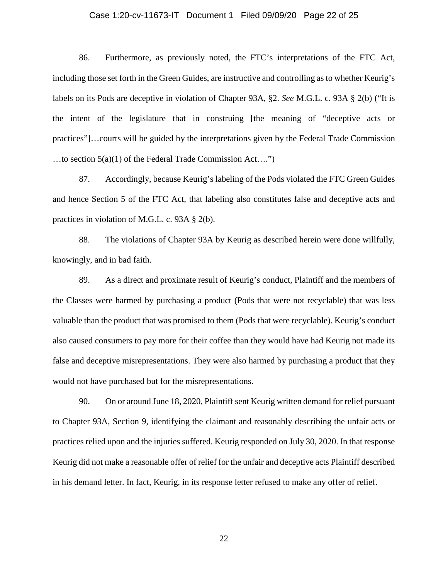## Case 1:20-cv-11673-IT Document 1 Filed 09/09/20 Page 22 of 25

86. Furthermore, as previously noted, the FTC's interpretations of the FTC Act, including those set forth in the Green Guides, are instructive and controlling as to whether Keurig's labels on its Pods are deceptive in violation of Chapter 93A, §2. *See* M.G.L. c. 93A § 2(b) ("It is the intent of the legislature that in construing [the meaning of "deceptive acts or practices"]…courts will be guided by the interpretations given by the Federal Trade Commission …to section 5(a)(1) of the Federal Trade Commission Act….")

87. Accordingly, because Keurig's labeling of the Pods violated the FTC Green Guides and hence Section 5 of the FTC Act, that labeling also constitutes false and deceptive acts and practices in violation of M.G.L. c. 93A § 2(b).

88. The violations of Chapter 93A by Keurig as described herein were done willfully, knowingly, and in bad faith.

89. As a direct and proximate result of Keurig's conduct, Plaintiff and the members of the Classes were harmed by purchasing a product (Pods that were not recyclable) that was less valuable than the product that was promised to them (Pods that were recyclable). Keurig's conduct also caused consumers to pay more for their coffee than they would have had Keurig not made its false and deceptive misrepresentations. They were also harmed by purchasing a product that they would not have purchased but for the misrepresentations.

90. On or around June 18, 2020, Plaintiff sent Keurig written demand for relief pursuant to Chapter 93A, Section 9, identifying the claimant and reasonably describing the unfair acts or practices relied upon and the injuries suffered. Keurig responded on July 30, 2020. In that response Keurig did not make a reasonable offer of relief for the unfair and deceptive acts Plaintiff described in his demand letter. In fact, Keurig, in its response letter refused to make any offer of relief.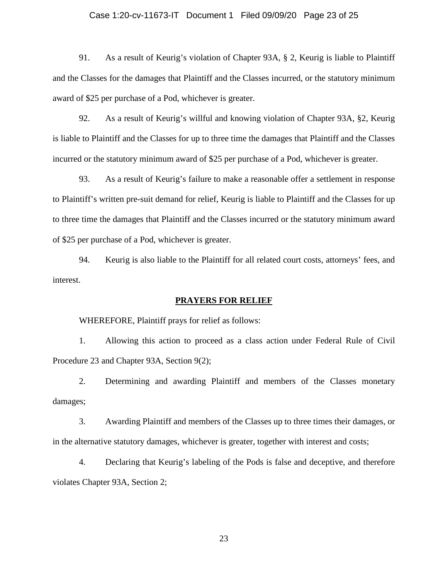## Case 1:20-cv-11673-IT Document 1 Filed 09/09/20 Page 23 of 25

91. As a result of Keurig's violation of Chapter 93A, § 2, Keurig is liable to Plaintiff and the Classes for the damages that Plaintiff and the Classes incurred, or the statutory minimum award of \$25 per purchase of a Pod, whichever is greater.

92. As a result of Keurig's willful and knowing violation of Chapter 93A, §2, Keurig is liable to Plaintiff and the Classes for up to three time the damages that Plaintiff and the Classes incurred or the statutory minimum award of \$25 per purchase of a Pod, whichever is greater.

93. As a result of Keurig's failure to make a reasonable offer a settlement in response to Plaintiff's written pre-suit demand for relief, Keurig is liable to Plaintiff and the Classes for up to three time the damages that Plaintiff and the Classes incurred or the statutory minimum award of \$25 per purchase of a Pod, whichever is greater.

94. Keurig is also liable to the Plaintiff for all related court costs, attorneys' fees, and interest.

#### **PRAYERS FOR RELIEF**

WHEREFORE, Plaintiff prays for relief as follows:

1. Allowing this action to proceed as a class action under Federal Rule of Civil Procedure 23 and Chapter 93A, Section 9(2);

2. Determining and awarding Plaintiff and members of the Classes monetary damages;

3. Awarding Plaintiff and members of the Classes up to three times their damages, or in the alternative statutory damages, whichever is greater, together with interest and costs;

4. Declaring that Keurig's labeling of the Pods is false and deceptive, and therefore violates Chapter 93A, Section 2;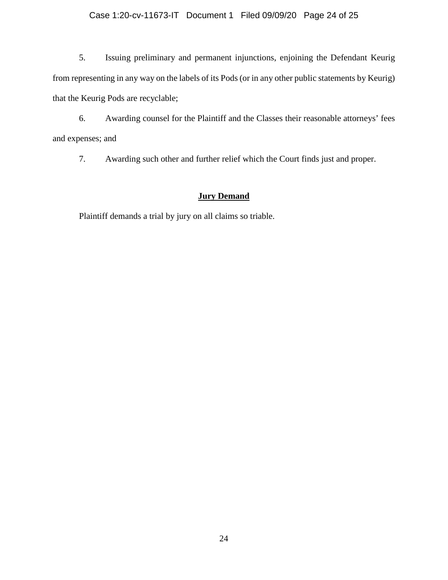## Case 1:20-cv-11673-IT Document 1 Filed 09/09/20 Page 24 of 25

5. Issuing preliminary and permanent injunctions, enjoining the Defendant Keurig from representing in any way on the labels of its Pods (or in any other public statements by Keurig) that the Keurig Pods are recyclable;

6. Awarding counsel for the Plaintiff and the Classes their reasonable attorneys' fees and expenses; and

7. Awarding such other and further relief which the Court finds just and proper.

# **Jury Demand**

Plaintiff demands a trial by jury on all claims so triable.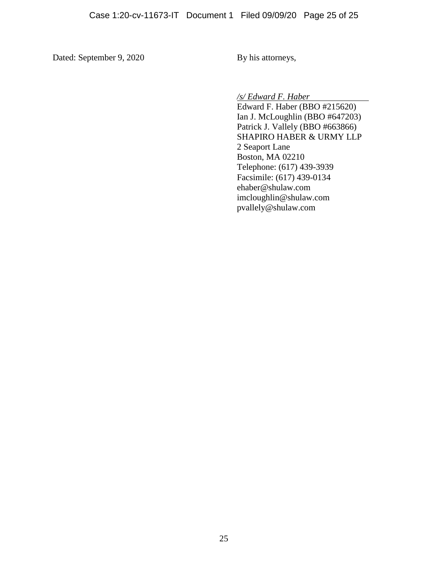Dated: September 9, 2020 By his attorneys,

*/s/ Edward F. Haber*

Edward F. Haber (BBO #215620) Ian J. McLoughlin (BBO #647203) Patrick J. Vallely (BBO #663866) SHAPIRO HABER & URMY LLP 2 Seaport Lane Boston, MA 02210 Telephone: (617) 439-3939 Facsimile: (617) 439-0134 ehaber@shulaw.com imcloughlin@shulaw.com pvallely@shulaw.com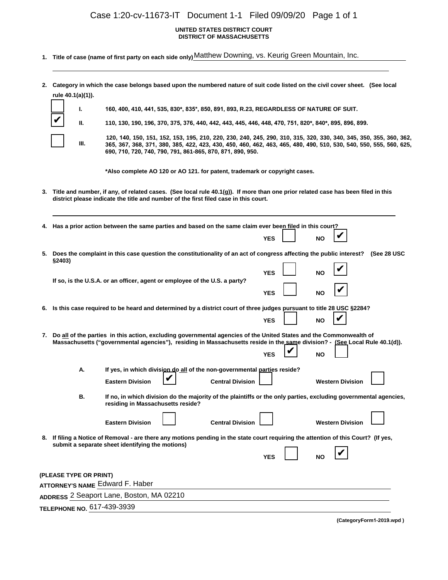# Case 1:20-cv-11673-IT Document 1-1 Filed 09/09/20 Page 1 of 1

#### **UNITED STATES DISTRICT COURT DISTRICT OF MASSACHUSETTS**

- **1. Title of case (name of first party on each side only)** Matthew Downing, vs. Keurig Green Mountain, Inc.
- **2. Category in which the case belongs based upon the numbered nature of suit code listed on the civil cover sheet. (See local rule 40.1(a)(1)).**

|  | L    | 160, 400, 410, 441, 535, 830*, 835*, 850, 891, 893, R.23, REGARDLESS OF NATURE OF SUIT.                                                                                                                                                                                                                |
|--|------|--------------------------------------------------------------------------------------------------------------------------------------------------------------------------------------------------------------------------------------------------------------------------------------------------------|
|  | Ш.   | 110, 130, 190, 196, 370, 375, 376, 440, 442, 443, 445, 446, 448, 470, 751, 820*, 840*, 895, 896, 899.                                                                                                                                                                                                  |
|  | III. | 120, 140, 150, 151, 152, 153, 195, 210, 220, 230, 240, 245, 290, 310, 315, 320, 330, 340, 345, 350, 355, 360, 362,<br>365, 367, 368, 371, 380, 385, 422, 423, 430, 450, 460, 462, 463, 465, 480, 490, 510, 530, 540, 550, 555, 560, 625,<br>690, 710, 720, 740, 790, 791, 861-865, 870, 871, 890, 950. |
|  |      | *Also complete AO 120 or AO 121. for patent, trademark or copyright cases.                                                                                                                                                                                                                             |
|  |      | 3. Title and number, if any, of related cases. (See local rule 40.1(g)). If more than one prior related case has been filed in this<br>district please indicate the title and number of the first filed case in this court.                                                                            |

|                                                                                                                                                                                         | 4. Has a prior action between the same parties and based on the same claim ever been filed in this court?                                                                                                                                         |                                                                                                                                                       |  |                         |            |  |           |                         |             |
|-----------------------------------------------------------------------------------------------------------------------------------------------------------------------------------------|---------------------------------------------------------------------------------------------------------------------------------------------------------------------------------------------------------------------------------------------------|-------------------------------------------------------------------------------------------------------------------------------------------------------|--|-------------------------|------------|--|-----------|-------------------------|-------------|
|                                                                                                                                                                                         |                                                                                                                                                                                                                                                   |                                                                                                                                                       |  |                         | <b>YES</b> |  | NO        |                         |             |
| Does the complaint in this case question the constitutionality of an act of congress affecting the public interest?<br>5.<br>§2403)                                                     |                                                                                                                                                                                                                                                   |                                                                                                                                                       |  |                         |            |  |           |                         | (See 28 USC |
|                                                                                                                                                                                         | If so, is the U.S.A. or an officer, agent or employee of the U.S. a party?                                                                                                                                                                        |                                                                                                                                                       |  |                         |            |  | NΟ        |                         |             |
|                                                                                                                                                                                         |                                                                                                                                                                                                                                                   |                                                                                                                                                       |  |                         |            |  | NΟ        |                         |             |
| 6. Is this case required to be heard and determined by a district court of three judges pursuant to title 28 USC §2284?                                                                 |                                                                                                                                                                                                                                                   |                                                                                                                                                       |  |                         |            |  |           |                         |             |
|                                                                                                                                                                                         |                                                                                                                                                                                                                                                   |                                                                                                                                                       |  |                         |            |  | NO        |                         |             |
| 7.                                                                                                                                                                                      | Do all of the parties in this action, excluding governmental agencies of the United States and the Commonwealth of<br>Massachusetts ("governmental agencies"), residing in Massachusetts reside in the same division? - (See Local Rule 40.1(d)). |                                                                                                                                                       |  |                         |            |  |           |                         |             |
|                                                                                                                                                                                         |                                                                                                                                                                                                                                                   |                                                                                                                                                       |  |                         | YES        |  | <b>NO</b> |                         |             |
|                                                                                                                                                                                         | А.                                                                                                                                                                                                                                                | If yes, in which division do all of the non-governmental parties reside?                                                                              |  |                         |            |  |           |                         |             |
|                                                                                                                                                                                         |                                                                                                                                                                                                                                                   | <b>Eastern Division</b>                                                                                                                               |  | <b>Central Division</b> |            |  |           | <b>Western Division</b> |             |
|                                                                                                                                                                                         | В.                                                                                                                                                                                                                                                | If no, in which division do the majority of the plaintiffs or the only parties, excluding governmental agencies,<br>residing in Massachusetts reside? |  |                         |            |  |           |                         |             |
|                                                                                                                                                                                         |                                                                                                                                                                                                                                                   | <b>Eastern Division</b>                                                                                                                               |  | <b>Central Division</b> |            |  |           | <b>Western Division</b> |             |
| 8. If filing a Notice of Removal - are there any motions pending in the state court requiring the attention of this Court? (If yes,<br>submit a separate sheet identifying the motions) |                                                                                                                                                                                                                                                   |                                                                                                                                                       |  |                         |            |  |           |                         |             |
|                                                                                                                                                                                         |                                                                                                                                                                                                                                                   |                                                                                                                                                       |  |                         | <b>YES</b> |  | <b>NO</b> |                         |             |
| (PLEASE TYPE OR PRINT)                                                                                                                                                                  |                                                                                                                                                                                                                                                   |                                                                                                                                                       |  |                         |            |  |           |                         |             |
|                                                                                                                                                                                         |                                                                                                                                                                                                                                                   |                                                                                                                                                       |  |                         |            |  |           |                         |             |
| ADDRESS 2 Seaport Lane, Boston, MA 02210                                                                                                                                                |                                                                                                                                                                                                                                                   |                                                                                                                                                       |  |                         |            |  |           |                         |             |
|                                                                                                                                                                                         | <b>ТЕLЕРНОNЕ NO.</b> 617-439-3939                                                                                                                                                                                                                 |                                                                                                                                                       |  |                         |            |  |           |                         |             |
|                                                                                                                                                                                         |                                                                                                                                                                                                                                                   |                                                                                                                                                       |  |                         |            |  |           |                         |             |

**(CategoryForm1-2019.wpd )**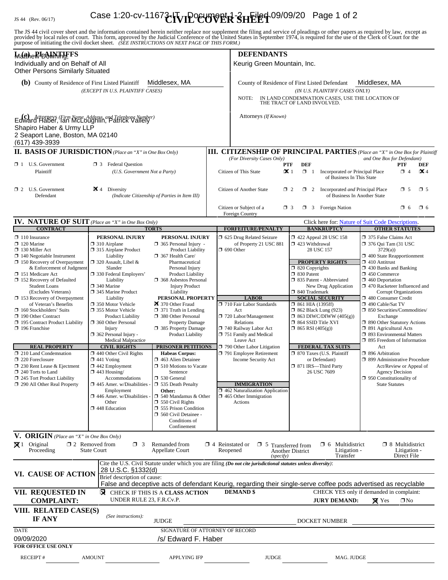# IS 44 (Rev. 06/17) Case 1:20-cv-1167**3-HVIP<sup>O</sup>CUPVER SHEET** 09/09/20 Page 1 of 2

The JS 44 civil cover sheet and the information contained herein neither replace nor supplement the filing and service of pleadings or other papers as required by law, except as provided by local rules of court. This form,

| Matthe RIDAWHHFFS<br>Individually and on Behalf of All<br><b>Other Persons Similarly Situated</b>                                                                                                                                                                                                                                                                                                                                                                                                                                                                                                                                                                                        |                                                                                                                                                                                                                                                                                                                                                                                                                                                                                                                                                                                                                                                        |                                                                                                                                                                                                                                                                                                                                                                                                                                                                                                                                                                                                                                                                                                                                                                          | <b>DEFENDANTS</b><br>Keurig Green Mountain, Inc.                                                                                                                                                                                                                                                                                                                                                                                                                      |                                                                                                                                                                                                                                                                                                                                                                                                                                                                                                                               |                                                                                                                                                                                                                                                                                                                                                                                                                                                                                                                                                                                                                                                                                                      |  |  |  |
|------------------------------------------------------------------------------------------------------------------------------------------------------------------------------------------------------------------------------------------------------------------------------------------------------------------------------------------------------------------------------------------------------------------------------------------------------------------------------------------------------------------------------------------------------------------------------------------------------------------------------------------------------------------------------------------|--------------------------------------------------------------------------------------------------------------------------------------------------------------------------------------------------------------------------------------------------------------------------------------------------------------------------------------------------------------------------------------------------------------------------------------------------------------------------------------------------------------------------------------------------------------------------------------------------------------------------------------------------------|--------------------------------------------------------------------------------------------------------------------------------------------------------------------------------------------------------------------------------------------------------------------------------------------------------------------------------------------------------------------------------------------------------------------------------------------------------------------------------------------------------------------------------------------------------------------------------------------------------------------------------------------------------------------------------------------------------------------------------------------------------------------------|-----------------------------------------------------------------------------------------------------------------------------------------------------------------------------------------------------------------------------------------------------------------------------------------------------------------------------------------------------------------------------------------------------------------------------------------------------------------------|-------------------------------------------------------------------------------------------------------------------------------------------------------------------------------------------------------------------------------------------------------------------------------------------------------------------------------------------------------------------------------------------------------------------------------------------------------------------------------------------------------------------------------|------------------------------------------------------------------------------------------------------------------------------------------------------------------------------------------------------------------------------------------------------------------------------------------------------------------------------------------------------------------------------------------------------------------------------------------------------------------------------------------------------------------------------------------------------------------------------------------------------------------------------------------------------------------------------------------------------|--|--|--|
| <b>(b)</b> County of Residence of First Listed Plaintiff                                                                                                                                                                                                                                                                                                                                                                                                                                                                                                                                                                                                                                 | (EXCEPT IN U.S. PLAINTIFF CASES)                                                                                                                                                                                                                                                                                                                                                                                                                                                                                                                                                                                                                       | Middlesex, MA                                                                                                                                                                                                                                                                                                                                                                                                                                                                                                                                                                                                                                                                                                                                                            | Middlesex, MA<br>County of Residence of First Listed Defendant<br>(IN U.S. PLAINTIFF CASES ONLY)<br>IN LAND CONDEMNATION CASES, USE THE LOCATION OF<br>NOTE:<br>THE TRACT OF LAND INVOLVED.                                                                                                                                                                                                                                                                           |                                                                                                                                                                                                                                                                                                                                                                                                                                                                                                                               |                                                                                                                                                                                                                                                                                                                                                                                                                                                                                                                                                                                                                                                                                                      |  |  |  |
| Edward Haber, Firm Name, Address, and Telephone Number)<br>Shapiro Haber & Urmy LLP<br>2 Seaport Lane, Boston, MA 02140<br>(617) 439-3939                                                                                                                                                                                                                                                                                                                                                                                                                                                                                                                                                |                                                                                                                                                                                                                                                                                                                                                                                                                                                                                                                                                                                                                                                        |                                                                                                                                                                                                                                                                                                                                                                                                                                                                                                                                                                                                                                                                                                                                                                          | Attorneys (If Known)                                                                                                                                                                                                                                                                                                                                                                                                                                                  |                                                                                                                                                                                                                                                                                                                                                                                                                                                                                                                               |                                                                                                                                                                                                                                                                                                                                                                                                                                                                                                                                                                                                                                                                                                      |  |  |  |
| <b>II. BASIS OF JURISDICTION</b> (Place an "X" in One Box Only)                                                                                                                                                                                                                                                                                                                                                                                                                                                                                                                                                                                                                          |                                                                                                                                                                                                                                                                                                                                                                                                                                                                                                                                                                                                                                                        |                                                                                                                                                                                                                                                                                                                                                                                                                                                                                                                                                                                                                                                                                                                                                                          |                                                                                                                                                                                                                                                                                                                                                                                                                                                                       |                                                                                                                                                                                                                                                                                                                                                                                                                                                                                                                               | <b>III. CITIZENSHIP OF PRINCIPAL PARTIES</b> (Place an "X" in One Box for Plaintiff                                                                                                                                                                                                                                                                                                                                                                                                                                                                                                                                                                                                                  |  |  |  |
| $\Box$ 1 U.S. Government<br>Plaintiff                                                                                                                                                                                                                                                                                                                                                                                                                                                                                                                                                                                                                                                    | <b>3</b> Federal Question<br>(U.S. Government Not a Party)                                                                                                                                                                                                                                                                                                                                                                                                                                                                                                                                                                                             |                                                                                                                                                                                                                                                                                                                                                                                                                                                                                                                                                                                                                                                                                                                                                                          | (For Diversity Cases Only)<br>Citizen of This State                                                                                                                                                                                                                                                                                                                                                                                                                   | <b>DEF</b><br><b>PTF</b><br>$\mathbf{\times}$ 1<br>$\Box$ 1<br>Incorporated or Principal Place<br>of Business In This State                                                                                                                                                                                                                                                                                                                                                                                                   | and One Box for Defendant)<br><b>PTF</b><br>DEF<br>$\mathbf{\times}$ 4<br>$\Box$ 4                                                                                                                                                                                                                                                                                                                                                                                                                                                                                                                                                                                                                   |  |  |  |
| $\Box$ 2 U.S. Government<br>Defendant                                                                                                                                                                                                                                                                                                                                                                                                                                                                                                                                                                                                                                                    | <b>X</b> 4<br>Diversity                                                                                                                                                                                                                                                                                                                                                                                                                                                                                                                                                                                                                                | (Indicate Citizenship of Parties in Item III)                                                                                                                                                                                                                                                                                                                                                                                                                                                                                                                                                                                                                                                                                                                            | Citizen of Another State                                                                                                                                                                                                                                                                                                                                                                                                                                              | $\Box$ 2 Incorporated <i>and</i> Principal Place<br>$\Box$ 2<br>of Business In Another State                                                                                                                                                                                                                                                                                                                                                                                                                                  |                                                                                                                                                                                                                                                                                                                                                                                                                                                                                                                                                                                                                                                                                                      |  |  |  |
|                                                                                                                                                                                                                                                                                                                                                                                                                                                                                                                                                                                                                                                                                          |                                                                                                                                                                                                                                                                                                                                                                                                                                                                                                                                                                                                                                                        |                                                                                                                                                                                                                                                                                                                                                                                                                                                                                                                                                                                                                                                                                                                                                                          | Citizen or Subject of a<br><b>Foreign Country</b>                                                                                                                                                                                                                                                                                                                                                                                                                     | $\Box$ 3 Foreign Nation<br>$\Box$ 3                                                                                                                                                                                                                                                                                                                                                                                                                                                                                           | $\Box$ 6<br>$\Box$ 6                                                                                                                                                                                                                                                                                                                                                                                                                                                                                                                                                                                                                                                                                 |  |  |  |
| <b>IV. NATURE OF SUIT</b> (Place an "X" in One Box Only)                                                                                                                                                                                                                                                                                                                                                                                                                                                                                                                                                                                                                                 |                                                                                                                                                                                                                                                                                                                                                                                                                                                                                                                                                                                                                                                        |                                                                                                                                                                                                                                                                                                                                                                                                                                                                                                                                                                                                                                                                                                                                                                          |                                                                                                                                                                                                                                                                                                                                                                                                                                                                       |                                                                                                                                                                                                                                                                                                                                                                                                                                                                                                                               | Click here for: Nature of Suit Code Descriptions.                                                                                                                                                                                                                                                                                                                                                                                                                                                                                                                                                                                                                                                    |  |  |  |
| <b>CONTRACT</b><br>$\Box$ 110 Insurance<br>$\Box$ 120 Marine<br>$\Box$ 130 Miller Act<br>$\Box$ 140 Negotiable Instrument<br>$\Box$ 150 Recovery of Overpayment<br>& Enforcement of Judgment<br>□ 151 Medicare Act<br>$\Box$ 152 Recovery of Defaulted<br><b>Student Loans</b><br>(Excludes Veterans)<br>153 Recovery of Overpayment<br>of Veteran's Benefits<br>$\Box$ 160 Stockholders' Suits<br>190 Other Contract<br>195 Contract Product Liability<br>$\Box$ 196 Franchise<br><b>REAL PROPERTY</b><br>$\Box$ 210 Land Condemnation<br>220 Foreclosure<br>$\Box$ 230 Rent Lease & Ejectment<br>$\Box$ 240 Torts to Land<br>245 Tort Product Liability<br>290 All Other Real Property | PERSONAL INJURY<br>$\Box$ 310 Airplane<br>□ 315 Airplane Product<br>Liability<br>$\Box$ 320 Assault, Libel &<br>Slander<br>□ 330 Federal Employers'<br>Liability<br>340 Marine<br>345 Marine Product<br>Liability<br>□ 350 Motor Vehicle<br>□ 355 Motor Vehicle<br><b>Product Liability</b><br>360 Other Personal<br>Injury<br>$\Box$ 362 Personal Injury -<br><b>Medical Malpractice</b><br><b>CIVIL RIGHTS</b><br>$\Box$ 440 Other Civil Rights<br>$\Box$ 441 Voting<br>$\Box$ 442 Employment<br>$\Box$ 443 Housing/<br>Accommodations<br>$\Box$ 445 Amer. w/Disabilities<br>Employment<br>$\Box$ 446 Amer. w/Disabilities<br>Other<br>448 Education | <b>TORTS</b><br>PERSONAL INJURY<br>$\Box$ 365 Personal Injury -<br><b>Product Liability</b><br>$\Box$ 367 Health Care/<br>Pharmaceutical<br>Personal Injury<br><b>Product Liability</b><br><b>1368</b> Asbestos Personal<br><b>Injury Product</b><br>Liability<br>PERSONAL PROPERTY<br>370 Other Fraud<br>$\Box$ 371 Truth in Lending<br>380 Other Personal<br><b>Property Damage</b><br>385 Property Damage<br>Product Liability<br><b>PRISONER PETITIONS</b><br><b>Habeas Corpus:</b><br>463 Alien Detainee<br>$\Box$ 510 Motions to Vacate<br>Sentence<br>$\Box$ 530 General<br><b>1 535 Death Penalty</b><br>Other:<br>$\Box$ 540 Mandamus & Other<br>$\Box$ 550 Civil Rights<br><b>355 Prison Condition</b><br>560 Civil Detainee -<br>Conditions of<br>Confinement | <b>FORFEITURE/PENALTY</b><br>5 625 Drug Related Seizure<br>of Property 21 USC 881<br>$\Box$ 690 Other<br><b>LABOR</b><br>710 Fair Labor Standards<br>Act<br>720 Labor/Management<br>Relations<br>740 Railway Labor Act<br>751 Family and Medical<br>Leave Act<br>$\Box$ 790 Other Labor Litigation<br>791 Employee Retirement<br><b>Income Security Act</b><br><b>IMMIGRATION</b><br>$\Box$ 462 Naturalization Application<br>$\Box$ 465 Other Immigration<br>Actions | <b>BANKRUPTCY</b><br>158 122 Appeal 28 USC 158<br>□ 423 Withdrawal<br>28 USC 157<br><b>PROPERTY RIGHTS</b><br>$\Box$ 820 Copyrights<br>$\Box$ 830 Patent<br>□ 835 Patent - Abbreviated<br>New Drug Application<br>□ 840 Trademark<br><b>SOCIAL SECURITY</b><br>$\Box$ 861 HIA (1395ff)<br>$\Box$ 862 Black Lung (923)<br>$\Box$ 863 DIWC/DIWW (405(g))<br>□ 864 SSID Title XVI<br>$\Box$ 865 RSI (405(g))<br><b>FEDERAL TAX SUITS</b><br>7 870 Taxes (U.S. Plaintiff<br>or Defendant)<br>□ 871 IRS-Third Party<br>26 USC 7609 | <b>OTHER STATUTES</b><br>375 False Claims Act<br>□ 376 Qui Tam (31 USC<br>3729(a)<br>$\Box$ 400 State Reapportionment<br>$\Box$ 410 Antitrust<br>$\Box$ 430 Banks and Banking<br>$\Box$ 450 Commerce<br>$\Box$ 460 Deportation<br>□ 470 Racketeer Influenced and<br><b>Corrupt Organizations</b><br>480 Consumer Credit<br>□ 490 Cable/Sat TV<br>□ 850 Securities/Commodities/<br>Exchange<br>□ 890 Other Statutory Actions<br>□ 891 Agricultural Acts<br>□ 893 Environmental Matters<br>□ 895 Freedom of Information<br>Act<br>□ 896 Arbitration<br>□ 899 Administrative Procedure<br>Act/Review or Appeal of<br><b>Agency Decision</b><br>$\Box$ 950 Constitutionality of<br><b>State Statutes</b> |  |  |  |
| V. ORIGIN (Place an "X" in One Box Only)<br>$\mathbf{\overline{X}}$ 1 Original                                                                                                                                                                                                                                                                                                                                                                                                                                                                                                                                                                                                           | $\Box$ 2 Removed from<br>$\Box$ 3                                                                                                                                                                                                                                                                                                                                                                                                                                                                                                                                                                                                                      | Remanded from                                                                                                                                                                                                                                                                                                                                                                                                                                                                                                                                                                                                                                                                                                                                                            | $\Box$ 4 Reinstated or                                                                                                                                                                                                                                                                                                                                                                                                                                                | $\Box$ 6 Multidistrict                                                                                                                                                                                                                                                                                                                                                                                                                                                                                                        | $\Box$ 8 Multidistrict                                                                                                                                                                                                                                                                                                                                                                                                                                                                                                                                                                                                                                                                               |  |  |  |
| $\Box$ 5 Transferred from<br>Proceeding<br><b>State Court</b><br><b>Appellate Court</b><br>Reopened<br>Litigation -<br>Litigation -<br><b>Another District</b><br>Transfer<br>Direct File<br>(specify)<br>Cite the U.S. Civil Statute under which you are filing (Do not cite jurisdictional statutes unless diversity):<br>28 U.S.C. §1332(d)                                                                                                                                                                                                                                                                                                                                           |                                                                                                                                                                                                                                                                                                                                                                                                                                                                                                                                                                                                                                                        |                                                                                                                                                                                                                                                                                                                                                                                                                                                                                                                                                                                                                                                                                                                                                                          |                                                                                                                                                                                                                                                                                                                                                                                                                                                                       |                                                                                                                                                                                                                                                                                                                                                                                                                                                                                                                               |                                                                                                                                                                                                                                                                                                                                                                                                                                                                                                                                                                                                                                                                                                      |  |  |  |
| VI. CAUSE OF ACTION                                                                                                                                                                                                                                                                                                                                                                                                                                                                                                                                                                                                                                                                      | Brief description of cause:                                                                                                                                                                                                                                                                                                                                                                                                                                                                                                                                                                                                                            |                                                                                                                                                                                                                                                                                                                                                                                                                                                                                                                                                                                                                                                                                                                                                                          | False and deceptive acts of defendant Keurig, regarding their single-serve coffee pods advertised as recyclable                                                                                                                                                                                                                                                                                                                                                       |                                                                                                                                                                                                                                                                                                                                                                                                                                                                                                                               |                                                                                                                                                                                                                                                                                                                                                                                                                                                                                                                                                                                                                                                                                                      |  |  |  |
| VII. REQUESTED IN<br><b>COMPLAINT:</b>                                                                                                                                                                                                                                                                                                                                                                                                                                                                                                                                                                                                                                                   | UNDER RULE 23, F.R.Cv.P.                                                                                                                                                                                                                                                                                                                                                                                                                                                                                                                                                                                                                               | <b>X</b> CHECK IF THIS IS A CLASS ACTION                                                                                                                                                                                                                                                                                                                                                                                                                                                                                                                                                                                                                                                                                                                                 | <b>DEMAND</b> \$                                                                                                                                                                                                                                                                                                                                                                                                                                                      | <b>JURY DEMAND:</b>                                                                                                                                                                                                                                                                                                                                                                                                                                                                                                           | CHECK YES only if demanded in complaint:<br>$\boxtimes$ Yes<br>$\square$ No                                                                                                                                                                                                                                                                                                                                                                                                                                                                                                                                                                                                                          |  |  |  |
| VIII. RELATED CASE(S)<br>IF ANY                                                                                                                                                                                                                                                                                                                                                                                                                                                                                                                                                                                                                                                          | (See instructions):                                                                                                                                                                                                                                                                                                                                                                                                                                                                                                                                                                                                                                    | <b>JUDGE</b>                                                                                                                                                                                                                                                                                                                                                                                                                                                                                                                                                                                                                                                                                                                                                             |                                                                                                                                                                                                                                                                                                                                                                                                                                                                       | DOCKET NUMBER                                                                                                                                                                                                                                                                                                                                                                                                                                                                                                                 |                                                                                                                                                                                                                                                                                                                                                                                                                                                                                                                                                                                                                                                                                                      |  |  |  |
| <b>DATE</b><br>09/09/2020<br><b>FOR OFFICE USE ONLY</b>                                                                                                                                                                                                                                                                                                                                                                                                                                                                                                                                                                                                                                  |                                                                                                                                                                                                                                                                                                                                                                                                                                                                                                                                                                                                                                                        | SIGNATURE OF ATTORNEY OF RECORD<br>/s/ Edward F. Haber                                                                                                                                                                                                                                                                                                                                                                                                                                                                                                                                                                                                                                                                                                                   |                                                                                                                                                                                                                                                                                                                                                                                                                                                                       |                                                                                                                                                                                                                                                                                                                                                                                                                                                                                                                               |                                                                                                                                                                                                                                                                                                                                                                                                                                                                                                                                                                                                                                                                                                      |  |  |  |
| <b>RECEIPT#</b>                                                                                                                                                                                                                                                                                                                                                                                                                                                                                                                                                                                                                                                                          | <b>AMOUNT</b>                                                                                                                                                                                                                                                                                                                                                                                                                                                                                                                                                                                                                                          | <b>APPLYING IFP</b>                                                                                                                                                                                                                                                                                                                                                                                                                                                                                                                                                                                                                                                                                                                                                      | <b>JUDGE</b>                                                                                                                                                                                                                                                                                                                                                                                                                                                          | MAG. JUDGE                                                                                                                                                                                                                                                                                                                                                                                                                                                                                                                    |                                                                                                                                                                                                                                                                                                                                                                                                                                                                                                                                                                                                                                                                                                      |  |  |  |